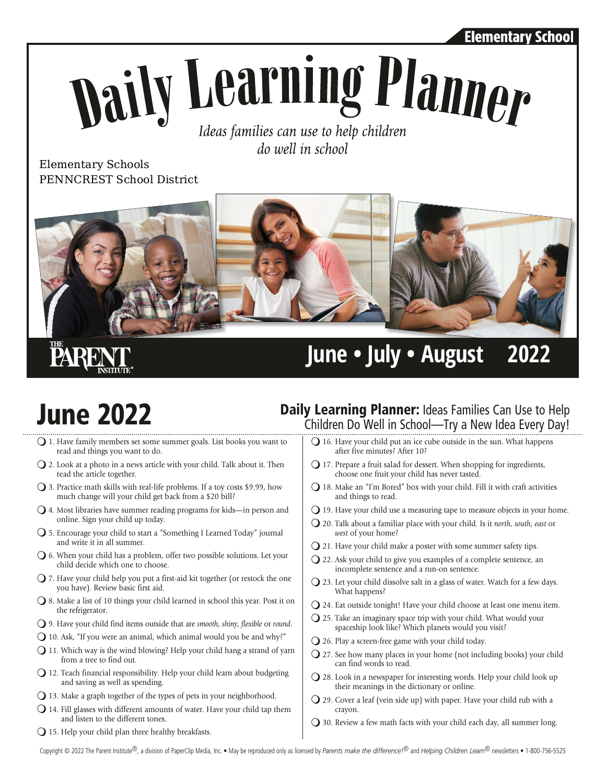#### Elementary School

# Naily Learning Planner Ideas families can use to help children

do well in school

Elementary Schools PENNCREST School District



## **PARE**

#### **June • July • August 2022**

- $\bigcirc$  1. Have family members set some summer goals. List books you want to read and things you want to do.
- $\Omega$  2. Look at a photo in a news article with your child. Talk about it. Then read the article together.
- $\bigcirc$  3. Practice math skills with real-life problems. If a toy costs \$9.99, how much change will your child get back from a \$20 bill?
- $\mathbf Q$  4. Most libraries have summer reading programs for kids—in person and online. Sign your child up today.
- $\Omega$  5. Encourage your child to start a "Something I Learned Today" journal and write it in all summer.
- $\bigcirc$  6. When your child has a problem, offer two possible solutions. Let your child decide which one to choose.
- $\bigcirc$  7. Have your child help you put a first-aid kit together (or restock the one you have). Review basic first aid.
- $\bigcirc$  8. Make a list of 10 things your child learned in school this year. Post it on the refrigerator.
- m9. Have your child find items outside that are *smooth*, *shiny*, *flexible* or *round*.
- $\bigcirc$  10. Ask, "If you were an animal, which animal would you be and why?"
- $\bigcirc$  11. Which way is the wind blowing? Help your child hang a strand of yarn from a tree to find out.
- $\bigcirc$  12. Teach financial responsibility. Help your child learn about budgeting and saving as well as spending.
- $\bigcirc$  13. Make a graph together of the types of pets in your neighborhood.
- $\Omega$  14. Fill glasses with different amounts of water. Have your child tap them and listen to the different tones.
- $\bigcirc$  15. Help your child plan three healthy breakfasts.

### **June 2022** Daily Learning Planner: Ideas Families Can Use to Help Children Do Well in School—Try a New Idea Every Day!

- $\bigcirc$  16. Have your child put an ice cube outside in the sun. What happens after five minutes? After 10?
- $\Omega$  17. Prepare a fruit salad for dessert. When shopping for ingredients, choose one fruit your child has never tasted.
- $\bigcirc$  18. Make an "I'm Bored" box with your child. Fill it with craft activities and things to read.
- $\bigcirc$  19. Have your child use a measuring tape to measure objects in your home.
- m20. Talk about a familiar place with your child. Is it *north*, *south*, *east* or *west* of your home?
- $Q$  21. Have your child make a poster with some summer safety tips.
- $Q$  22. Ask your child to give you examples of a complete sentence, an incomplete sentence and a run-on sentence.
- $\bigcirc$  23. Let your child dissolve salt in a glass of water. Watch for a few days. What happens?
- $\bigcirc$  24. Eat outside tonight! Have your child choose at least one menu item.
- $\bigcirc$  25. Take an imaginary space trip with your child. What would your spaceship look like? Which planets would you visit?
- $Q$  26. Play a screen-free game with your child today.
- $\Omega$  27. See how many places in your home (not including books) your child can find words to read.
- $Q$  28. Look in a newspaper for interesting words. Help your child look up their meanings in the dictionary or online.
- $Q$  29. Cover a leaf (vein side up) with paper. Have your child rub with a crayon.
- $\bigcirc$  30. Review a few math facts with your child each day, all summer long.

Copyright © 2022 The Parent Institute®, a division of PaperClip Media, Inc. • May be reproduced only as licensed by *Parents make the difference!*® and *Helping Children Learn*® newsletters • 1-800-756-5525